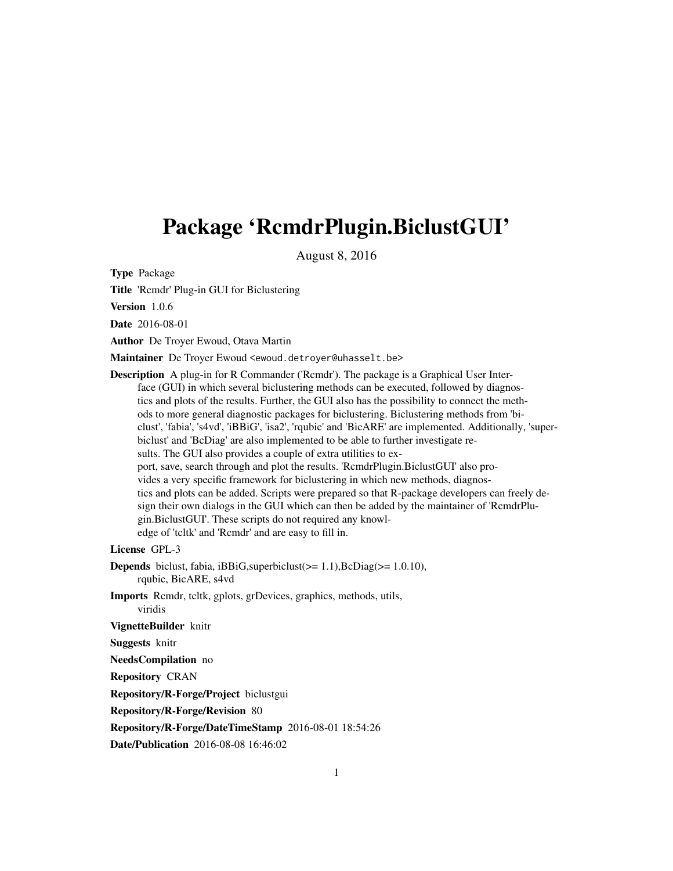## <span id="page-0-0"></span>Package 'RcmdrPlugin.BiclustGUI'

August 8, 2016

Type Package

Title 'Rcmdr' Plug-in GUI for Biclustering

Version 1.0.6

Date 2016-08-01

Author De Troyer Ewoud, Otava Martin

Maintainer De Troyer Ewoud <ewoud.detroyer@uhasselt.be>

Description A plug-in for R Commander ('Rcmdr'). The package is a Graphical User Interface (GUI) in which several biclustering methods can be executed, followed by diagnostics and plots of the results. Further, the GUI also has the possibility to connect the methods to more general diagnostic packages for biclustering. Biclustering methods from 'biclust', 'fabia', 's4vd', 'iBBiG', 'isa2', 'rqubic' and 'BicARE' are implemented. Additionally, 'superbiclust' and 'BcDiag' are also implemented to be able to further investigate results. The GUI also provides a couple of extra utilities to export, save, search through and plot the results. 'RcmdrPlugin.BiclustGUI' also provides a very specific framework for biclustering in which new methods, diagnostics and plots can be added. Scripts were prepared so that R-package developers can freely design their own dialogs in the GUI which can then be added by the maintainer of 'RcmdrPlugin.BiclustGUI'. These scripts do not required any knowledge of 'tcltk' and 'Rcmdr' and are easy to fill in.

License GPL-3

**Depends** biclust, fabia, iBBiG, superbiclust  $(>= 1.1)$ , BcDiag $(>= 1.0.10)$ , rqubic, BicARE, s4vd

Imports Rcmdr, tcltk, gplots, grDevices, graphics, methods, utils, viridis

VignetteBuilder knitr

Suggests knitr

NeedsCompilation no

Repository CRAN

Repository/R-Forge/Project biclustgui

Repository/R-Forge/Revision 80

Repository/R-Forge/DateTimeStamp 2016-08-01 18:54:26

Date/Publication 2016-08-08 16:46:02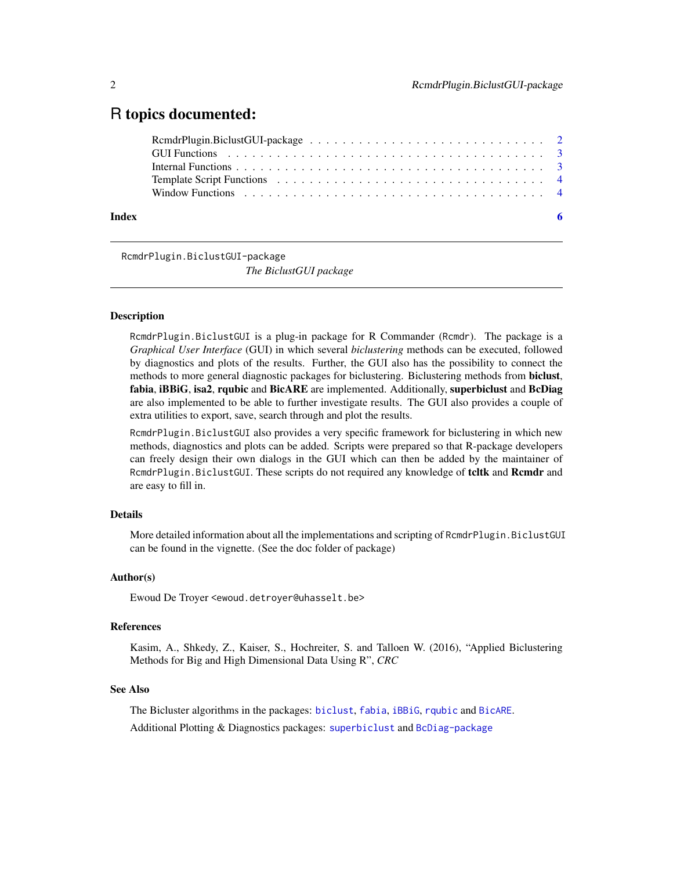## <span id="page-1-0"></span>R topics documented:

| Index |  |
|-------|--|

RcmdrPlugin.BiclustGUI-package

*The BiclustGUI package*

#### Description

RcmdrPlugin.BiclustGUI is a plug-in package for R Commander (Rcmdr). The package is a *Graphical User Interface* (GUI) in which several *biclustering* methods can be executed, followed by diagnostics and plots of the results. Further, the GUI also has the possibility to connect the methods to more general diagnostic packages for biclustering. Biclustering methods from biclust, fabia, iBBiG, isa2, rqubic and BicARE are implemented. Additionally, superbiclust and BcDiag are also implemented to be able to further investigate results. The GUI also provides a couple of extra utilities to export, save, search through and plot the results.

RcmdrPlugin.BiclustGUI also provides a very specific framework for biclustering in which new methods, diagnostics and plots can be added. Scripts were prepared so that R-package developers can freely design their own dialogs in the GUI which can then be added by the maintainer of RcmdrPlugin.BiclustGUI. These scripts do not required any knowledge of teltk and Remdr and are easy to fill in.

## Details

More detailed information about all the implementations and scripting of RcmdrPlugin.BiclustGUI can be found in the vignette. (See the doc folder of package)

#### Author(s)

Ewoud De Troyer <ewoud.detroyer@uhasselt.be>

#### References

Kasim, A., Shkedy, Z., Kaiser, S., Hochreiter, S. and Talloen W. (2016), "Applied Biclustering Methods for Big and High Dimensional Data Using R", *CRC*

#### See Also

The Bicluster algorithms in the packages: [biclust](#page-0-0), [fabia](#page-0-0), [iBBiG](#page-0-0), [rqubic](#page-0-0) and [BicARE](#page-0-0).

Additional Plotting & Diagnostics packages: [superbiclust](#page-0-0) and [BcDiag-package](#page-0-0)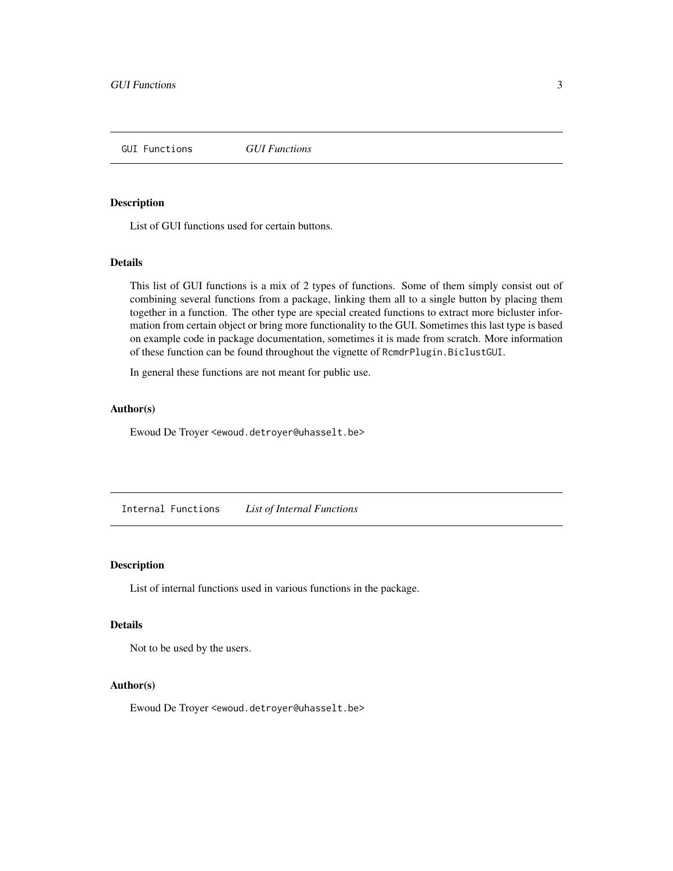<span id="page-2-0"></span>GUI Functions *GUI Functions*

#### Description

List of GUI functions used for certain buttons.

#### Details

This list of GUI functions is a mix of 2 types of functions. Some of them simply consist out of combining several functions from a package, linking them all to a single button by placing them together in a function. The other type are special created functions to extract more bicluster information from certain object or bring more functionality to the GUI. Sometimes this last type is based on example code in package documentation, sometimes it is made from scratch. More information of these function can be found throughout the vignette of RcmdrPlugin.BiclustGUI.

In general these functions are not meant for public use.

#### Author(s)

Ewoud De Troyer <ewoud.detroyer@uhasselt.be>

Internal Functions *List of Internal Functions*

#### Description

List of internal functions used in various functions in the package.

#### Details

Not to be used by the users.

#### Author(s)

Ewoud De Troyer <ewoud.detroyer@uhasselt.be>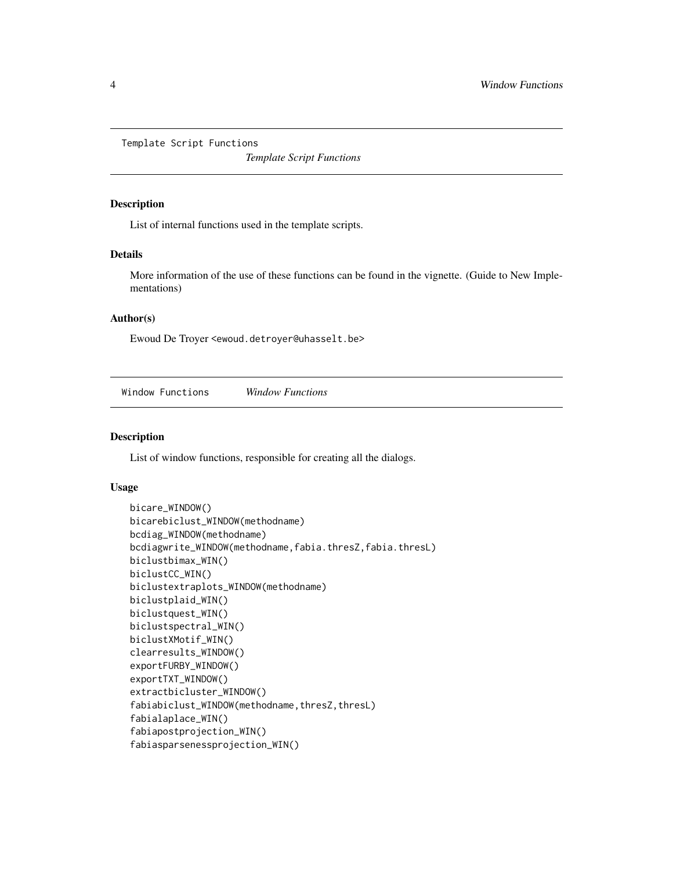<span id="page-3-0"></span>Template Script Functions

*Template Script Functions*

#### Description

List of internal functions used in the template scripts.

#### Details

More information of the use of these functions can be found in the vignette. (Guide to New Implementations)

#### Author(s)

Ewoud De Troyer <ewoud.detroyer@uhasselt.be>

Window Functions *Window Functions*

#### Description

List of window functions, responsible for creating all the dialogs.

#### Usage

```
bicare_WINDOW()
bicarebiclust_WINDOW(methodname)
bcdiag_WINDOW(methodname)
bcdiagwrite_WINDOW(methodname,fabia.thresZ,fabia.thresL)
biclustbimax_WIN()
biclustCC_WIN()
biclustextraplots_WINDOW(methodname)
biclustplaid_WIN()
biclustquest_WIN()
biclustspectral_WIN()
biclustXMotif_WIN()
clearresults_WINDOW()
exportFURBY_WINDOW()
exportTXT_WINDOW()
extractbicluster_WINDOW()
fabiabiclust_WINDOW(methodname, thresZ, thresL)
fabialaplace_WIN()
fabiapostprojection_WIN()
fabiasparsenessprojection_WIN()
```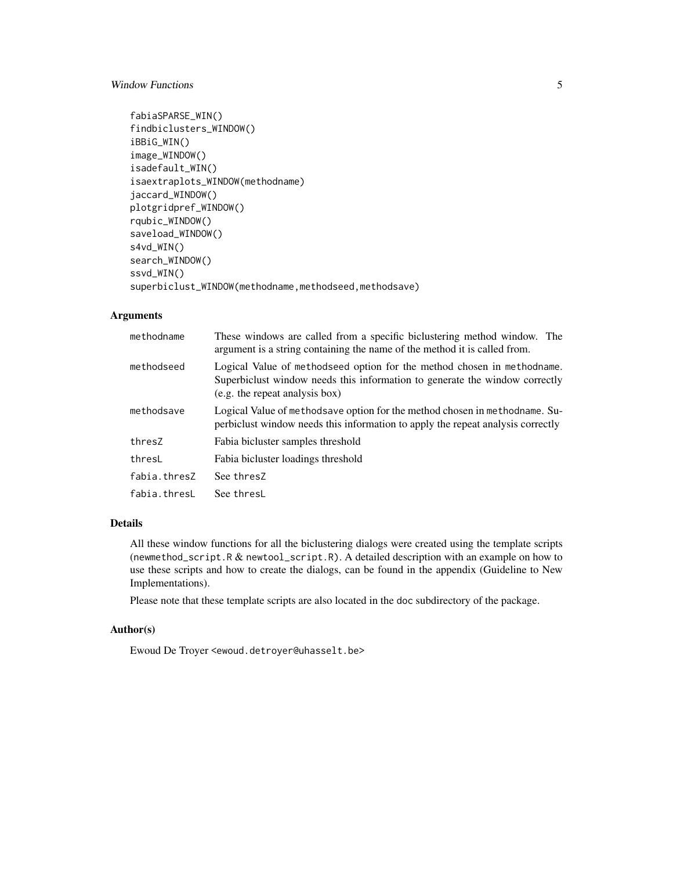## Window Functions 5

```
fabiaSPARSE_WIN()
findbiclusters_WINDOW()
iBBiG_WIN()
image_WINDOW()
isadefault_WIN()
isaextraplots_WINDOW(methodname)
jaccard_WINDOW()
plotgridpref_WINDOW()
rqubic_WINDOW()
saveload_WINDOW()
s4vd_WIN()
search_WINDOW()
ssvd_WIN()
superbiclust_WINDOW(methodname,methodseed,methodsave)
```
## Arguments

| methodname   | These windows are called from a specific biclustering method window. The<br>argument is a string containing the name of the method it is called from.                                    |
|--------------|------------------------------------------------------------------------------------------------------------------------------------------------------------------------------------------|
| methodseed   | Logical Value of methodseed option for the method chosen in methodname.<br>Superbiclust window needs this information to generate the window correctly<br>(e.g. the repeat analysis box) |
| methodsave   | Logical Value of methodsave option for the method chosen in methodname. Su-<br>perbicult window needs this information to apply the repeat analysis correctly                            |
| thresZ       | Fabia bicluster samples threshold                                                                                                                                                        |
| thresL       | Fabia bicluster loadings threshold                                                                                                                                                       |
| fabia.thresZ | See thresZ                                                                                                                                                                               |
| fabia.thresL | See thresL                                                                                                                                                                               |

## Details

All these window functions for all the biclustering dialogs were created using the template scripts (newmethod\_script.R & newtool\_script.R). A detailed description with an example on how to use these scripts and how to create the dialogs, can be found in the appendix (Guideline to New Implementations).

Please note that these template scripts are also located in the doc subdirectory of the package.

## Author(s)

Ewoud De Troyer <ewoud.detroyer@uhasselt.be>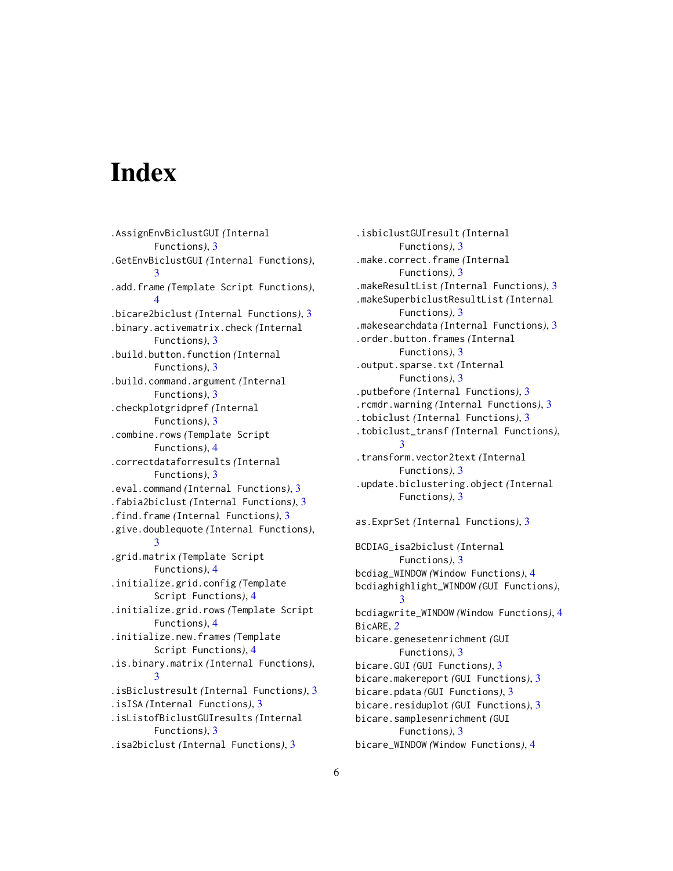# <span id="page-5-0"></span>**Index**

.AssignEnvBiclustGUI *(*Internal Functions*)*, [3](#page-2-0) .GetEnvBiclustGUI *(*Internal Functions*)*, [3](#page-2-0) .add.frame *(*Template Script Functions*)*, [4](#page-3-0) .bicare2biclust *(*Internal Functions*)*, [3](#page-2-0) .binary.activematrix.check *(*Internal Functions*)*, [3](#page-2-0) .build.button.function *(*Internal Functions*)*, [3](#page-2-0) .build.command.argument *(*Internal Functions*)*, [3](#page-2-0) .checkplotgridpref *(*Internal Functions*)*, [3](#page-2-0) .combine.rows *(*Template Script Functions*)*, [4](#page-3-0) .correctdataforresults *(*Internal Functions*)*, [3](#page-2-0) .eval.command *(*Internal Functions*)*, [3](#page-2-0) .fabia2biclust *(*Internal Functions*)*, [3](#page-2-0) .find.frame *(*Internal Functions*)*, [3](#page-2-0) .give.doublequote *(*Internal Functions*)*, [3](#page-2-0) .grid.matrix *(*Template Script Functions*)*, [4](#page-3-0) .initialize.grid.config *(*Template Script Functions*)*, [4](#page-3-0) .initialize.grid.rows *(*Template Script Functions*)*, [4](#page-3-0) .initialize.new.frames *(*Template Script Functions*)*, [4](#page-3-0) .is.binary.matrix *(*Internal Functions*)*, [3](#page-2-0) .isBiclustresult *(*Internal Functions*)*, [3](#page-2-0) .isISA *(*Internal Functions*)*, [3](#page-2-0) .isListofBiclustGUIresults *(*Internal Functions*)*, [3](#page-2-0) .isa2biclust *(*Internal Functions*)*, [3](#page-2-0)

.isbiclustGUIresult *(*Internal Functions*)*, [3](#page-2-0) .make.correct.frame *(*Internal Functions*)*, [3](#page-2-0) .makeResultList *(*Internal Functions*)*, [3](#page-2-0) .makeSuperbiclustResultList *(*Internal Functions*)*, [3](#page-2-0) .makesearchdata *(*Internal Functions*)*, [3](#page-2-0) .order.button.frames *(*Internal Functions*)*, [3](#page-2-0) .output.sparse.txt *(*Internal Functions*)*, [3](#page-2-0) .putbefore *(*Internal Functions*)*, [3](#page-2-0) .rcmdr.warning *(*Internal Functions*)*, [3](#page-2-0) .tobiclust *(*Internal Functions*)*, [3](#page-2-0) .tobiclust\_transf *(*Internal Functions*)*, [3](#page-2-0) .transform.vector2text *(*Internal Functions*)*, [3](#page-2-0) .update.biclustering.object *(*Internal Functions*)*, [3](#page-2-0) as.ExprSet *(*Internal Functions*)*, [3](#page-2-0) BCDIAG\_isa2biclust *(*Internal Functions*)*, [3](#page-2-0) bcdiag\_WINDOW *(*Window Functions*)*, [4](#page-3-0) bcdiaghighlight\_WINDOW *(*GUI Functions*)*, [3](#page-2-0) bcdiagwrite\_WINDOW *(*Window Functions*)*, [4](#page-3-0) BicARE, *[2](#page-1-0)* bicare.genesetenrichment *(*GUI Functions*)*, [3](#page-2-0) bicare.GUI *(*GUI Functions*)*, [3](#page-2-0) bicare.makereport *(*GUI Functions*)*, [3](#page-2-0) bicare.pdata *(*GUI Functions*)*, [3](#page-2-0) bicare.residuplot *(*GUI Functions*)*, [3](#page-2-0) bicare.samplesenrichment *(*GUI Functions*)*, [3](#page-2-0) bicare\_WINDOW *(*Window Functions*)*, [4](#page-3-0)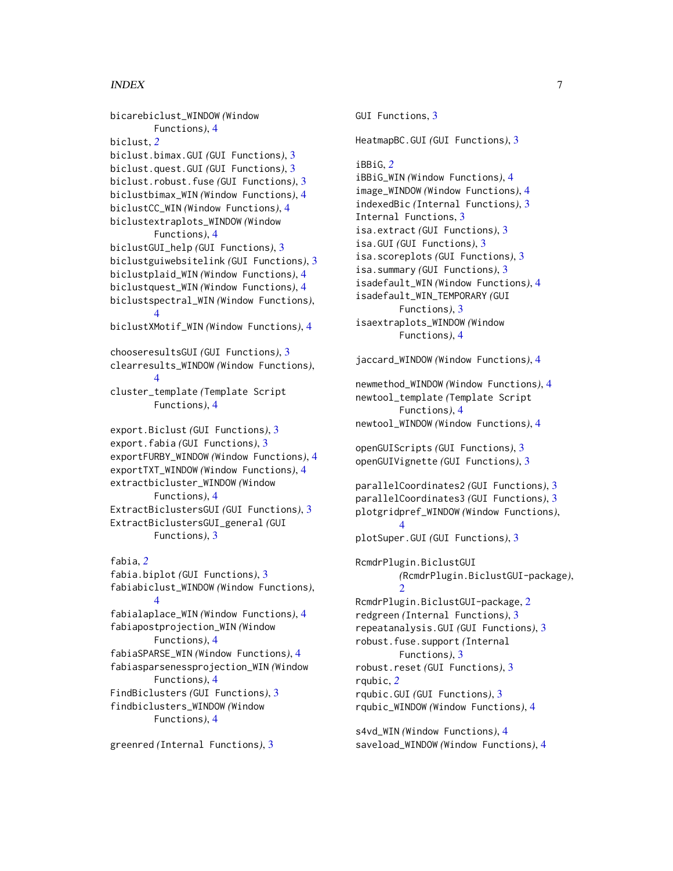#### INDEX 7

bicarebiclust\_WINDOW *(*Window Functions*)*, [4](#page-3-0) biclust, *[2](#page-1-0)* biclust.bimax.GUI *(*GUI Functions*)*, [3](#page-2-0) biclust.quest.GUI *(*GUI Functions*)*, [3](#page-2-0) biclust.robust.fuse *(*GUI Functions*)*, [3](#page-2-0) biclustbimax\_WIN *(*Window Functions*)*, [4](#page-3-0) biclustCC\_WIN *(*Window Functions*)*, [4](#page-3-0) biclustextraplots\_WINDOW *(*Window Functions*)*, [4](#page-3-0) biclustGUI\_help *(*GUI Functions*)*, [3](#page-2-0) biclustguiwebsitelink *(*GUI Functions*)*, [3](#page-2-0) biclustplaid\_WIN *(*Window Functions*)*, [4](#page-3-0) biclustquest\_WIN *(*Window Functions*)*, [4](#page-3-0) biclustspectral\_WIN *(*Window Functions*)*, [4](#page-3-0) biclustXMotif\_WIN *(*Window Functions*)*, [4](#page-3-0) chooseresultsGUI *(*GUI Functions*)*, [3](#page-2-0) clearresults\_WINDOW *(*Window Functions*)*, [4](#page-3-0) cluster\_template *(*Template Script Functions*)*, [4](#page-3-0) export.Biclust *(*GUI Functions*)*, [3](#page-2-0) export.fabia *(*GUI Functions*)*, [3](#page-2-0) exportFURBY\_WINDOW *(*Window Functions*)*, [4](#page-3-0) exportTXT\_WINDOW *(*Window Functions*)*, [4](#page-3-0) extractbicluster\_WINDOW *(*Window Functions*)*, [4](#page-3-0) ExtractBiclustersGUI *(*GUI Functions*)*, [3](#page-2-0) ExtractBiclustersGUI\_general *(*GUI Functions*)*, [3](#page-2-0) fabia, *[2](#page-1-0)* fabia.biplot *(*GUI Functions*)*, [3](#page-2-0) fabiabiclust\_WINDOW *(*Window Functions*)*, [4](#page-3-0) fabialaplace\_WIN *(*Window Functions*)*, [4](#page-3-0) fabiapostprojection\_WIN *(*Window Functions*)*, [4](#page-3-0) fabiaSPARSE\_WIN *(*Window Functions*)*, [4](#page-3-0) fabiasparsenessprojection\_WIN *(*Window Functions*)*, [4](#page-3-0) FindBiclusters *(*GUI Functions*)*, [3](#page-2-0) findbiclusters\_WINDOW *(*Window Functions*)*, [4](#page-3-0)

greenred *(*Internal Functions*)*, [3](#page-2-0)

GUI Functions, [3](#page-2-0) HeatmapBC.GUI *(*GUI Functions*)*, [3](#page-2-0) iBBiG, *[2](#page-1-0)* iBBiG\_WIN *(*Window Functions*)*, [4](#page-3-0) image\_WINDOW *(*Window Functions*)*, [4](#page-3-0) indexedBic *(*Internal Functions*)*, [3](#page-2-0) Internal Functions, [3](#page-2-0) isa.extract *(*GUI Functions*)*, [3](#page-2-0) isa.GUI *(*GUI Functions*)*, [3](#page-2-0) isa.scoreplots *(*GUI Functions*)*, [3](#page-2-0) isa.summary *(*GUI Functions*)*, [3](#page-2-0) isadefault\_WIN *(*Window Functions*)*, [4](#page-3-0) isadefault\_WIN\_TEMPORARY *(*GUI Functions*)*, [3](#page-2-0) isaextraplots\_WINDOW *(*Window Functions*)*, [4](#page-3-0) jaccard\_WINDOW *(*Window Functions*)*, [4](#page-3-0) newmethod\_WINDOW *(*Window Functions*)*, [4](#page-3-0) newtool\_template *(*Template Script Functions*)*, [4](#page-3-0) newtool\_WINDOW *(*Window Functions*)*, [4](#page-3-0) openGUIScripts *(*GUI Functions*)*, [3](#page-2-0) openGUIVignette *(*GUI Functions*)*, [3](#page-2-0) parallelCoordinates2 *(*GUI Functions*)*, [3](#page-2-0) parallelCoordinates3 *(*GUI Functions*)*, [3](#page-2-0) plotgridpref\_WINDOW *(*Window Functions*)*, [4](#page-3-0) plotSuper.GUI *(*GUI Functions*)*, [3](#page-2-0) RcmdrPlugin.BiclustGUI *(*RcmdrPlugin.BiclustGUI-package*)*,  $\mathcal{D}$ RcmdrPlugin.BiclustGUI-package, [2](#page-1-0) redgreen *(*Internal Functions*)*, [3](#page-2-0) repeatanalysis.GUI *(*GUI Functions*)*, [3](#page-2-0) robust.fuse.support *(*Internal Functions*)*, [3](#page-2-0) robust.reset *(*GUI Functions*)*, [3](#page-2-0) rqubic, *[2](#page-1-0)* rqubic.GUI *(*GUI Functions*)*, [3](#page-2-0) rqubic\_WINDOW *(*Window Functions*)*, [4](#page-3-0)

s4vd\_WIN *(*Window Functions*)*, [4](#page-3-0) saveload\_WINDOW *(*Window Functions*)*, [4](#page-3-0)